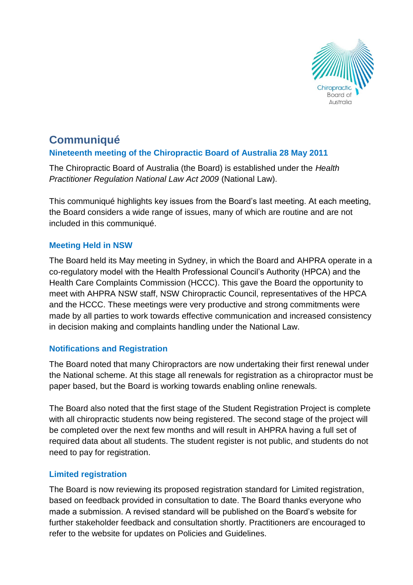

# **Communiqué Nineteenth meeting of the Chiropractic Board of Australia 28 May 2011**

The Chiropractic Board of Australia (the Board) is established under the *Health Practitioner Regulation National Law Act 2009* (National Law).

This communiqué highlights key issues from the Board's last meeting. At each meeting, the Board considers a wide range of issues, many of which are routine and are not included in this communiqué.

### **Meeting Held in NSW**

The Board held its May meeting in Sydney, in which the Board and AHPRA operate in a co-regulatory model with the Health Professional Council's Authority (HPCA) and the Health Care Complaints Commission (HCCC). This gave the Board the opportunity to meet with AHPRA NSW staff, NSW Chiropractic Council, representatives of the HPCA and the HCCC. These meetings were very productive and strong commitments were made by all parties to work towards effective communication and increased consistency in decision making and complaints handling under the National Law.

## **Notifications and Registration**

The Board noted that many Chiropractors are now undertaking their first renewal under the National scheme. At this stage all renewals for registration as a chiropractor must be paper based, but the Board is working towards enabling online renewals.

The Board also noted that the first stage of the Student Registration Project is complete with all chiropractic students now being registered. The second stage of the project will be completed over the next few months and will result in AHPRA having a full set of required data about all students. The student register is not public, and students do not need to pay for registration.

### **Limited registration**

The Board is now reviewing its proposed registration standard for Limited registration, based on feedback provided in consultation to date. The Board thanks everyone who made a submission. A revised standard will be published on the Board's website for further stakeholder feedback and consultation shortly. Practitioners are encouraged to refer to the website for updates on Policies and Guidelines.